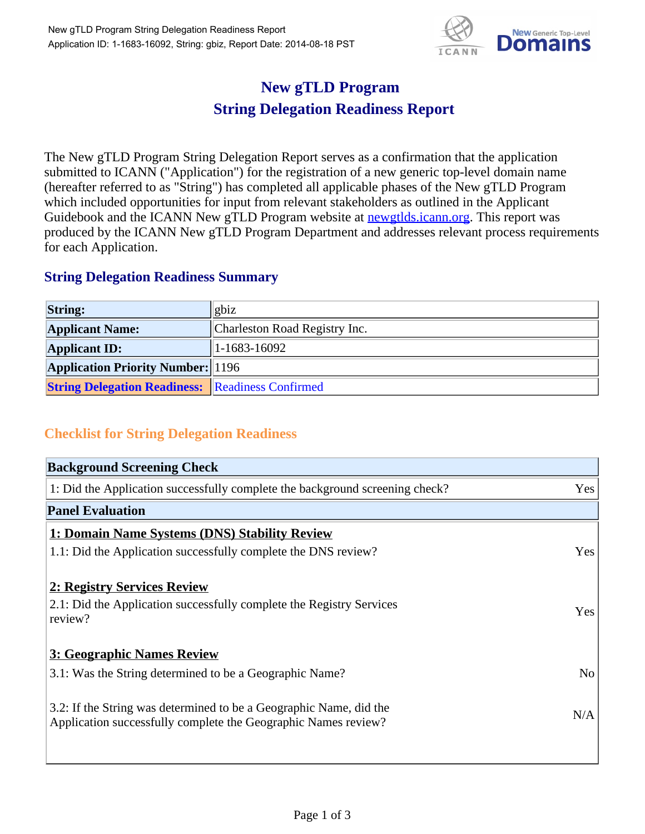

## **New gTLD Program String Delegation Readiness Report**

The New gTLD Program String Delegation Report serves as a confirmation that the application submitted to ICANN ("Application") for the registration of a new generic top-level domain name (hereafter referred to as "String") has completed all applicable phases of the New gTLD Program which included opportunities for input from relevant stakeholders as outlined in the Applicant Guidebook and the ICANN New gTLD Program website at newgtlds.icann.org. This report was produced by the ICANN New gTLD Program Department and addresses relevant process requirements for each Application.

## **String Delegation Readiness Summary**

| <b>String:</b>                                          | gbiz                          |
|---------------------------------------------------------|-------------------------------|
| <b>Applicant Name:</b>                                  | Charleston Road Registry Inc. |
| <b>Applicant ID:</b>                                    | $ 1-1683-16092 $              |
| <b>Application Priority Number: 196</b>                 |                               |
| <b>String Delegation Readiness:</b> Readiness Confirmed |                               |

## **Checklist for String Delegation Readiness**

| <b>Background Screening Check</b>                                               |                |  |
|---------------------------------------------------------------------------------|----------------|--|
| 1: Did the Application successfully complete the background screening check?    | Yes            |  |
| <b>Panel Evaluation</b>                                                         |                |  |
| 1: Domain Name Systems (DNS) Stability Review                                   |                |  |
| 1.1: Did the Application successfully complete the DNS review?                  | Yes            |  |
|                                                                                 |                |  |
| 2: Registry Services Review                                                     |                |  |
| 2.1: Did the Application successfully complete the Registry Services<br>review? | <b>Yes</b>     |  |
|                                                                                 |                |  |
| 3: Geographic Names Review                                                      |                |  |
| 3.1: Was the String determined to be a Geographic Name?                         | N <sub>o</sub> |  |
| 3.2: If the String was determined to be a Geographic Name, did the              |                |  |
| Application successfully complete the Geographic Names review?                  | N/A            |  |
|                                                                                 |                |  |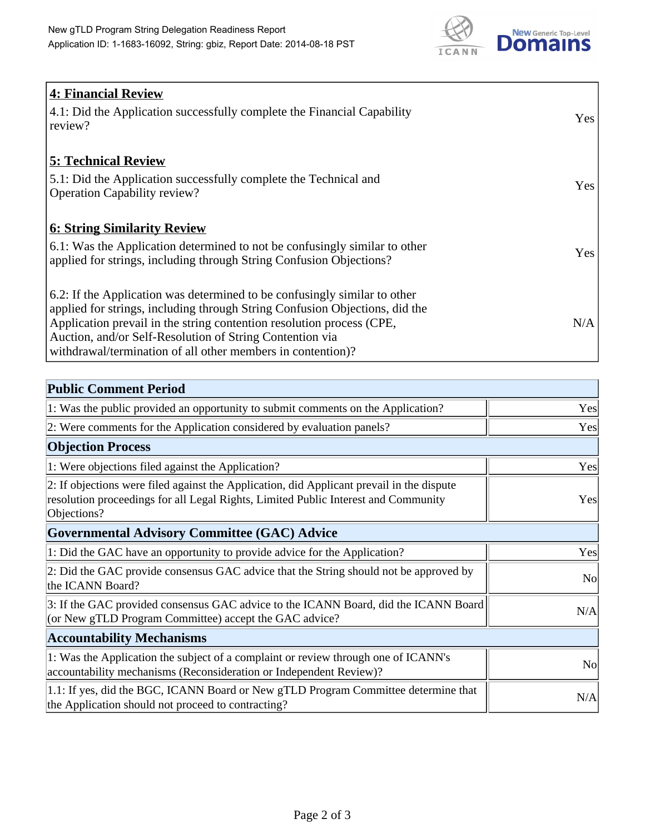

| <b>4: Financial Review</b><br>4.1: Did the Application successfully complete the Financial Capability<br>review?                                                                                                                                                                                                                                             | Yes |
|--------------------------------------------------------------------------------------------------------------------------------------------------------------------------------------------------------------------------------------------------------------------------------------------------------------------------------------------------------------|-----|
| <b>5: Technical Review</b><br>5.1: Did the Application successfully complete the Technical and<br><b>Operation Capability review?</b>                                                                                                                                                                                                                        | Yes |
| <b>6: String Similarity Review</b><br>6.1: Was the Application determined to not be confusingly similar to other<br>applied for strings, including through String Confusion Objections?                                                                                                                                                                      | Yes |
| 6.2: If the Application was determined to be confusingly similar to other<br>applied for strings, including through String Confusion Objections, did the<br>Application prevail in the string contention resolution process (CPE,<br>Auction, and/or Self-Resolution of String Contention via<br>withdrawal/termination of all other members in contention)? | N/A |

| <b>Public Comment Period</b>                                                                                                                                                                   |                |
|------------------------------------------------------------------------------------------------------------------------------------------------------------------------------------------------|----------------|
| 1: Was the public provided an opportunity to submit comments on the Application?                                                                                                               | Yes            |
| 2: Were comments for the Application considered by evaluation panels?                                                                                                                          | Yes            |
| <b>Objection Process</b>                                                                                                                                                                       |                |
| 1: Were objections filed against the Application?                                                                                                                                              | Yes            |
| 2: If objections were filed against the Application, did Applicant prevail in the dispute<br>resolution proceedings for all Legal Rights, Limited Public Interest and Community<br>Objections? | Yes            |
| <b>Governmental Advisory Committee (GAC) Advice</b>                                                                                                                                            |                |
| 1: Did the GAC have an opportunity to provide advice for the Application?                                                                                                                      | Yes            |
| 2: Did the GAC provide consensus GAC advice that the String should not be approved by<br>the ICANN Board?                                                                                      | N <sub>o</sub> |
| 3: If the GAC provided consensus GAC advice to the ICANN Board, did the ICANN Board<br>(or New gTLD Program Committee) accept the GAC advice?                                                  | N/A            |
| <b>Accountability Mechanisms</b>                                                                                                                                                               |                |
| 1: Was the Application the subject of a complaint or review through one of ICANN's<br>accountability mechanisms (Reconsideration or Independent Review)?                                       | N <sub>0</sub> |
| 1.1: If yes, did the BGC, ICANN Board or New gTLD Program Committee determine that<br>the Application should not proceed to contracting?                                                       | N/A            |